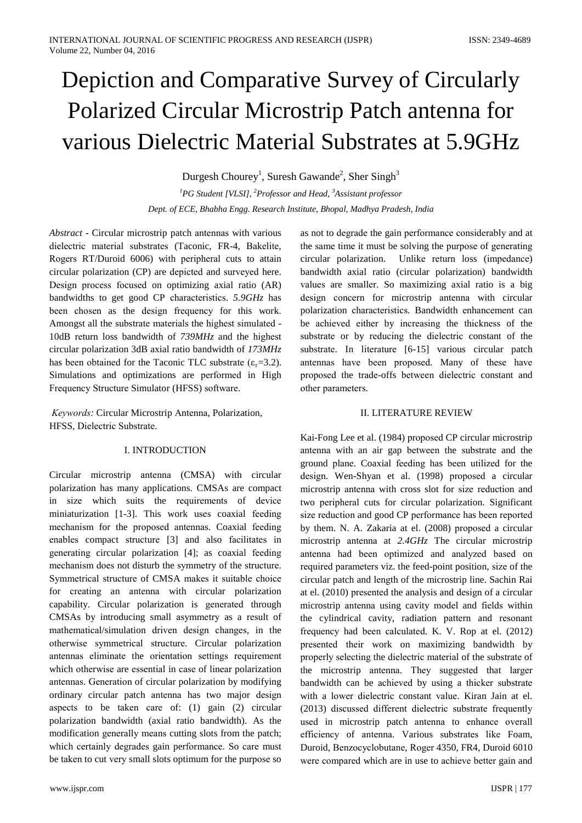# Depiction and Comparative Survey of Circularly Polarized Circular Microstrip Patch antenna for various Dielectric Material Substrates at 5.9GHz

Durgesh Chourey<sup>1</sup>, Suresh Gawande<sup>2</sup>, Sher Singh<sup>3</sup>

<sup>1</sup>PG Student [VLSI], <sup>2</sup>Professor and Head, <sup>3</sup>Assistant professor Dept. of ECE, Bhabha Engg. Research Institute, Bhopal, Madhya Pradesh, India

*Abstract* - Circular microstrip patch antennas with various dielectric material substrates (Taconic, FR-4, Bakelite, Rogers RT/Duroid 6006) with peripheral cuts to attain circular polarization (CP) are depicted and surveyed here. Design process focused on optimizing axial ratio (AR) bandwidths to get good CP characteristics.  $5.9GHz$  has been chosen as the design frequency for this work. Amongst all the substrate materials the highest simulated -10dB return loss bandwidth of 739MHz and the highest circular polarization 3dB axial ratio bandwidth of 173MHz has been obtained for the Taconic TLC substrate  $(\epsilon_r=3.2)$ . Simulations and optimizations are performed in High Frequency Structure Simulator (HFSS) software.

Keywords: Circular Microstrip Antenna, Polarization, HFSS. Dielectric Substrate.

# **I. INTRODUCTION**

Circular microstrip antenna (CMSA) with circular polarization has many applications. CMSAs are compact in size which suits the requirements of device miniaturization [1-3]. This work uses coaxial feeding mechanism for the proposed antennas. Coaxial feeding enables compact structure [3] and also facilitates in generating circular polarization [4]; as coaxial feeding mechanism does not disturb the symmetry of the structure. Symmetrical structure of CMSA makes it suitable choice for creating an antenna with circular polarization capability. Circular polarization is generated through CMSAs by introducing small asymmetry as a result of mathematical/simulation driven design changes, in the otherwise symmetrical structure. Circular polarization antennas eliminate the orientation settings requirement which otherwise are essential in case of linear polarization antennas. Generation of circular polarization by modifying ordinary circular patch antenna has two major design aspects to be taken care of: (1) gain (2) circular polarization bandwidth (axial ratio bandwidth). As the modification generally means cutting slots from the patch; which certainly degrades gain performance. So care must be taken to cut very small slots optimum for the purpose so

the same time it must be solving the purpose of generating circular polarization. Unlike return loss (impedance) bandwidth axial ratio (circular polarization) bandwidth values are smaller. So maximizing axial ratio is a big design concern for microstrip antenna with circular polarization characteristics. Bandwidth enhancement can be achieved either by increasing the thickness of the substrate or by reducing the dielectric constant of the substrate. In literature [6-15] various circular patch antennas have been proposed. Many of these have proposed the trade-offs between dielectric constant and other parameters.

as not to degrade the gain performance considerably and at

# **II. LITERATURE REVIEW**

Kai-Fong Lee et al. (1984) proposed CP circular microstrip antenna with an air gap between the substrate and the ground plane. Coaxial feeding has been utilized for the design. Wen-Shyan et al. (1998) proposed a circular microstrip antenna with cross slot for size reduction and two peripheral cuts for circular polarization. Significant size reduction and good CP performance has been reported by them. N. A. Zakaria at el. (2008) proposed a circular microstrip antenna at 2.4GHz The circular microstrip antenna had been optimized and analyzed based on required parameters viz. the feed-point position, size of the circular patch and length of the microstrip line. Sachin Rai at el. (2010) presented the analysis and design of a circular microstrip antenna using cavity model and fields within the cylindrical cavity, radiation pattern and resonant frequency had been calculated. K. V. Rop at el. (2012) presented their work on maximizing bandwidth by properly selecting the dielectric material of the substrate of the microstrip antenna. They suggested that larger bandwidth can be achieved by using a thicker substrate with a lower dielectric constant value. Kiran Jain at el. (2013) discussed different dielectric substrate frequently used in microstrip patch antenna to enhance overall efficiency of antenna. Various substrates like Foam, Duroid, Benzocyclobutane, Roger 4350, FR4, Duroid 6010 were compared which are in use to achieve better gain and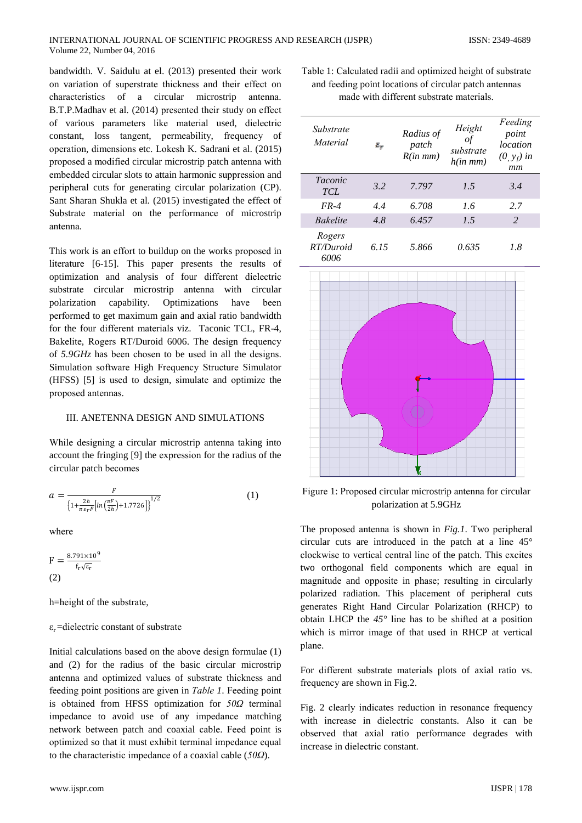bandwidth. V. Saidulu at el. (2013) presented their work on variation of superstrate thickness and their effect on characteristics of a circular microstrip antenna. B.T.P.Madhav et al. (2014) presented their study on effect of various parameters like material used, dielectric constant, loss tangent, permeability, frequency of operation, dimensions etc. Lokesh K. Sadrani et al. (2015) proposed a modified circular microstrip patch antenna with embedded circular slots to attain harmonic suppression and peripheral cuts for generating circular polarization (CP). Sant Sharan Shukla et al. (2015) investigated the effect of Substrate material on the performance of microstrip antenna.

This work is an effort to buildup on the works proposed in literature [6-15]. This paper presents the results of optimization and analysis of four different dielectric substrate circular microstrip antenna with circular Optimizations polarization capability. have been performed to get maximum gain and axial ratio bandwidth for the four different materials viz. Taconic TCL, FR-4, Bakelite, Rogers RT/Duroid 6006. The design frequency of  $5.9GHz$  has been chosen to be used in all the designs. Simulation software High Frequency Structure Simulator (HFSS) [5] is used to design, simulate and optimize the proposed antennas.

#### III. ANETENNA DESIGN AND SIMULATIONS

While designing a circular microstrip antenna taking into account the fringing [9] the expression for the radius of the circular patch becomes

$$
a = \frac{F}{\left\{1 + \frac{2h}{\pi \varepsilon_r F} \left[ ln\left(\frac{\pi F}{2h}\right) + 1.7726 \right] \right\}^{1/2}}
$$
(1)

where

 $F = \frac{8.791 \times 10^9}{100}$  $(2)$ 

h=height of the substrate,

#### $\varepsilon_r$ =dielectric constant of substrate

Initial calculations based on the above design formulae (1) and (2) for the radius of the basic circular microstrip antenna and optimized values of substrate thickness and feeding point positions are given in *Table 1*. Feeding point is obtained from HFSS optimization for 50Q terminal impedance to avoid use of any impedance matching network between patch and coaxial cable. Feed point is optimized so that it must exhibit terminal impedance equal to the characteristic impedance of a coaxial cable  $(50\Omega)$ .

Table 1: Calculated radii and optimized height of substrate and feeding point locations of circular patch antennas made with different substrate materials.

| Substrate<br>Material             | $\mathbf{E}_{\mathbf{w}}$ | Radius of<br>patch<br>$R(in \, mm)$ | Height<br>οf<br>substrate<br>$h(in \, mm)$ | Feeding<br>point<br>location<br>$(0, y_f)$ in<br>mm |
|-----------------------------------|---------------------------|-------------------------------------|--------------------------------------------|-----------------------------------------------------|
| <i>Taconic</i><br>TCL             | 3.2                       | 7.797                               | 1.5                                        | 3.4                                                 |
| $FR-4$                            | 4.4                       | 6.708                               | 1.6                                        | 2.7                                                 |
| <b>Bakelite</b>                   | 4.8                       | 6.457                               | 1.5                                        | $\mathcal{L}$                                       |
| Rogers<br>RT/Duroid<br>$\epsilon$ | 6.15                      | 5.866                               | 0.635                                      | 1.8                                                 |



Figure 1: Proposed circular microstrip antenna for circular polarization at 5.9GHz

The proposed antenna is shown in Fig.1. Two peripheral circular cuts are introduced in the patch at a line  $45^{\circ}$ clockwise to vertical central line of the patch. This excites two orthogonal field components which are equal in magnitude and opposite in phase; resulting in circularly polarized radiation. This placement of peripheral cuts generates Right Hand Circular Polarization (RHCP) to obtain LHCP the  $45^{\circ}$  line has to be shifted at a position which is mirror image of that used in RHCP at vertical plane.

For different substrate materials plots of axial ratio vs. frequency are shown in Fig.2.

Fig. 2 clearly indicates reduction in resonance frequency with increase in dielectric constants. Also it can be observed that axial ratio performance degrades with increase in dielectric constant.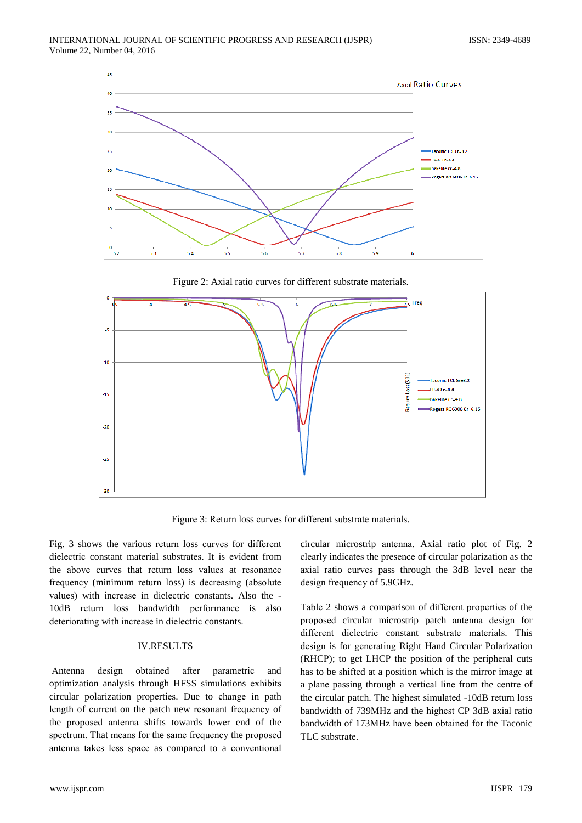





Figure 3: Return loss curves for different substrate materials.

Fig. 3 shows the various return loss curves for different dielectric constant material substrates. It is evident from the above curves that return loss values at resonance frequency (minimum return loss) is decreasing (absolute values) with increase in dielectric constants. Also the -10dB return loss bandwidth performance is also deteriorating with increase in dielectric constants.

# **IV.RESULTS**

Antenna design obtained after parametric and optimization analysis through HFSS simulations exhibits circular polarization properties. Due to change in path length of current on the patch new resonant frequency of the proposed antenna shifts towards lower end of the spectrum. That means for the same frequency the proposed antenna takes less space as compared to a conventional

circular microstrip antenna. Axial ratio plot of Fig. 2 clearly indicates the presence of circular polarization as the axial ratio curves pass through the 3dB level near the design frequency of 5.9GHz.

Table 2 shows a comparison of different properties of the proposed circular microstrip patch antenna design for different dielectric constant substrate materials. This design is for generating Right Hand Circular Polarization (RHCP); to get LHCP the position of the peripheral cuts has to be shifted at a position which is the mirror image at a plane passing through a vertical line from the centre of the circular patch. The highest simulated -10dB return loss bandwidth of 739MHz and the highest CP 3dB axial ratio bandwidth of 173MHz have been obtained for the Taconic TLC substrate.